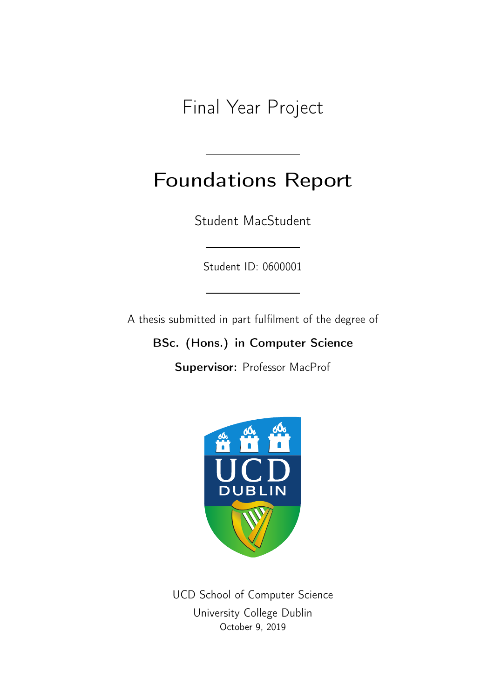Final Year Project

# Foundations Report

Student MacStudent

Student ID: 0600001

A thesis submitted in part fulfilment of the degree of

BSc. (Hons.) in Computer Science

Supervisor: Professor MacProf



UCD School of Computer Science University College Dublin October 9, 2019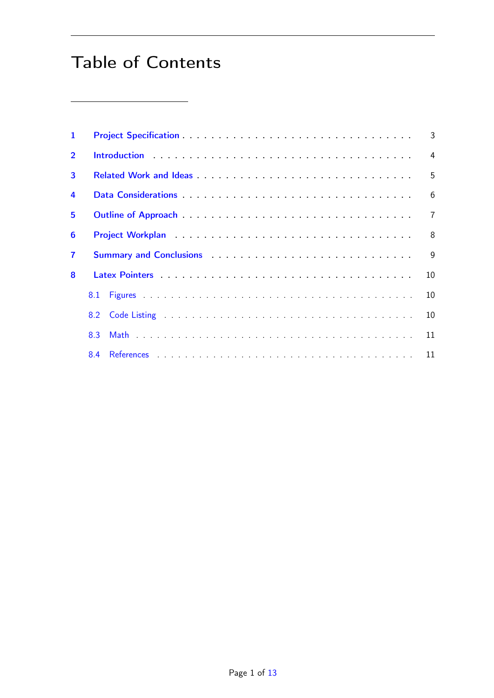## Table of Contents

| $\mathbf{1}$   |                                                                                                                                                                                                                                            | 3              |
|----------------|--------------------------------------------------------------------------------------------------------------------------------------------------------------------------------------------------------------------------------------------|----------------|
| $\overline{2}$ |                                                                                                                                                                                                                                            | $\overline{4}$ |
| 3              |                                                                                                                                                                                                                                            | 5              |
| $\overline{a}$ |                                                                                                                                                                                                                                            | 6              |
| 5              |                                                                                                                                                                                                                                            | $\overline{7}$ |
| 6              |                                                                                                                                                                                                                                            | 8              |
| $\mathbf{7}$   |                                                                                                                                                                                                                                            | $\mathbf{Q}$   |
| 8              |                                                                                                                                                                                                                                            | 10             |
|                | 8.1                                                                                                                                                                                                                                        | 10             |
|                | Code Listing <b>Example 20</b> Section 20 and 20 Section 20 and 20 and 20 and 20 and 20 and 20 and 20 and 20 and 20 and 20 and 20 and 20 and 20 and 20 and 20 and 20 and 20 and 20 and 20 and 20 and 20 and 20 and 20 and 20 and 20<br>8.2 | 10             |
|                | 8.3                                                                                                                                                                                                                                        | 11             |
|                | 8.4                                                                                                                                                                                                                                        |                |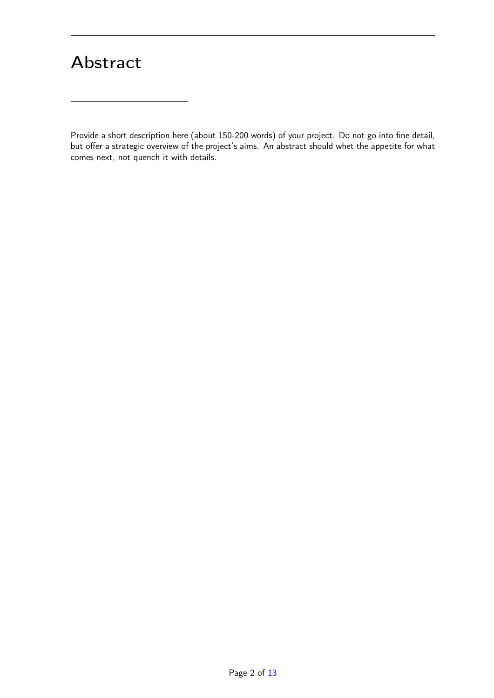### Abstract

Provide a short description here (about 150-200 words) of your project. Do not go into fine detail, but offer a strategic overview of the project's aims. An abstract should whet the appetite for what comes next, not quench it with details.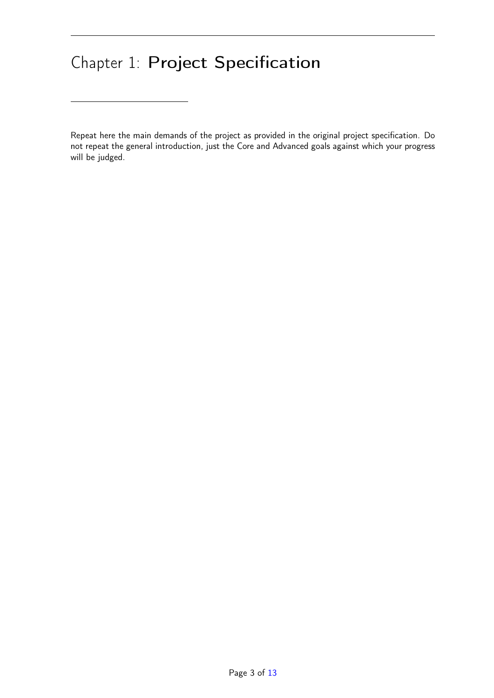## <span id="page-3-0"></span>Chapter 1: Project Specification

Repeat here the main demands of the project as provided in the original project specification. Do not repeat the general introduction, just the Core and Advanced goals against which your progress will be judged.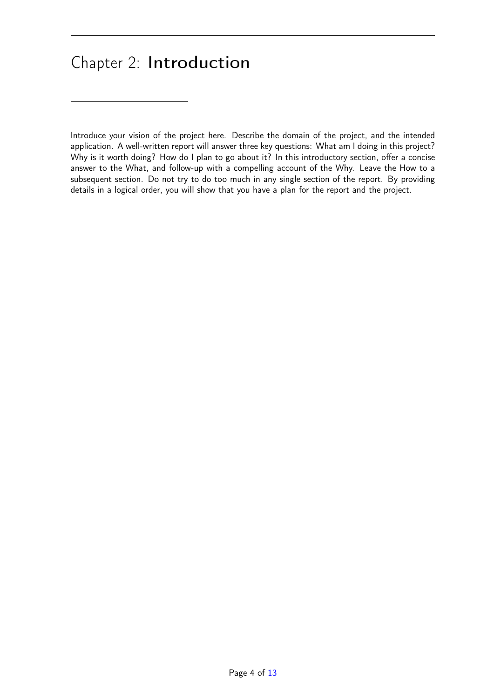### <span id="page-4-0"></span>Chapter 2: Introduction

Introduce your vision of the project here. Describe the domain of the project, and the intended application. A well-written report will answer three key questions: What am I doing in this project? Why is it worth doing? How do I plan to go about it? In this introductory section, offer a concise answer to the What, and follow-up with a compelling account of the Why. Leave the How to a subsequent section. Do not try to do too much in any single section of the report. By providing details in a logical order, you will show that you have a plan for the report and the project.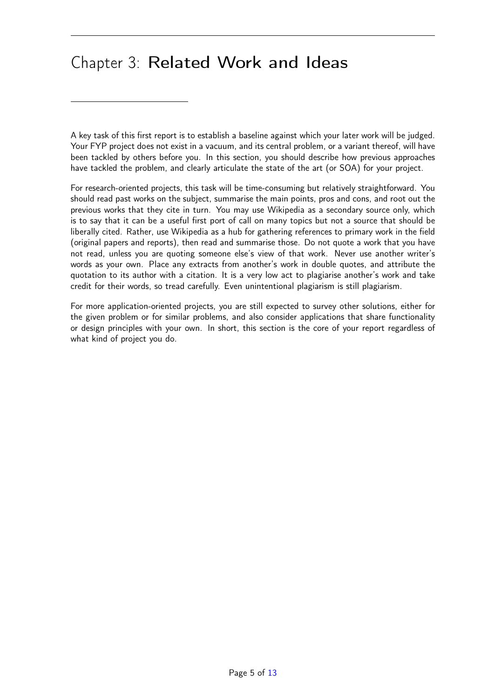### <span id="page-5-0"></span>Chapter 3: Related Work and Ideas

A key task of this first report is to establish a baseline against which your later work will be judged. Your FYP project does not exist in a vacuum, and its central problem, or a variant thereof, will have been tackled by others before you. In this section, you should describe how previous approaches have tackled the problem, and clearly articulate the state of the art (or SOA) for your project.

For research-oriented projects, this task will be time-consuming but relatively straightforward. You should read past works on the subject, summarise the main points, pros and cons, and root out the previous works that they cite in turn. You may use Wikipedia as a secondary source only, which is to say that it can be a useful first port of call on many topics but not a source that should be liberally cited. Rather, use Wikipedia as a hub for gathering references to primary work in the field (original papers and reports), then read and summarise those. Do not quote a work that you have not read, unless you are quoting someone else's view of that work. Never use another writer's words as your own. Place any extracts from another's work in double quotes, and attribute the quotation to its author with a citation. It is a very low act to plagiarise another's work and take credit for their words, so tread carefully. Even unintentional plagiarism is still plagiarism.

For more application-oriented projects, you are still expected to survey other solutions, either for the given problem or for similar problems, and also consider applications that share functionality or design principles with your own. In short, this section is the core of your report regardless of what kind of project you do.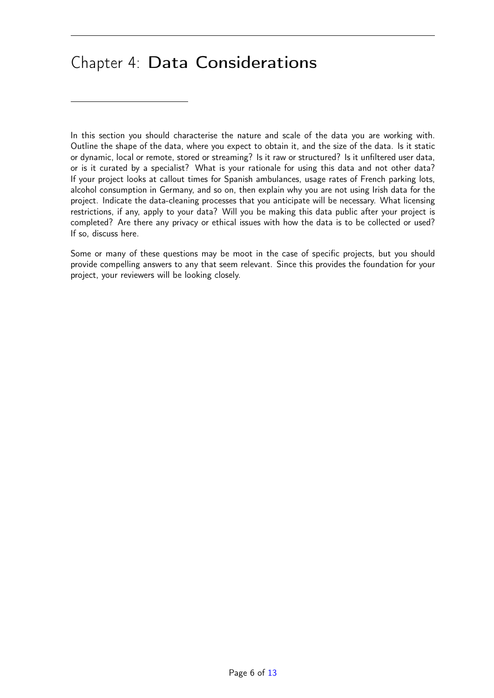#### <span id="page-6-0"></span>Chapter 4: Data Considerations

In this section you should characterise the nature and scale of the data you are working with. Outline the shape of the data, where you expect to obtain it, and the size of the data. Is it static or dynamic, local or remote, stored or streaming? Is it raw or structured? Is it unfiltered user data, or is it curated by a specialist? What is your rationale for using this data and not other data? If your project looks at callout times for Spanish ambulances, usage rates of French parking lots, alcohol consumption in Germany, and so on, then explain why you are not using Irish data for the project. Indicate the data-cleaning processes that you anticipate will be necessary. What licensing restrictions, if any, apply to your data? Will you be making this data public after your project is completed? Are there any privacy or ethical issues with how the data is to be collected or used? If so, discuss here.

Some or many of these questions may be moot in the case of specific projects, but you should provide compelling answers to any that seem relevant. Since this provides the foundation for your project, your reviewers will be looking closely.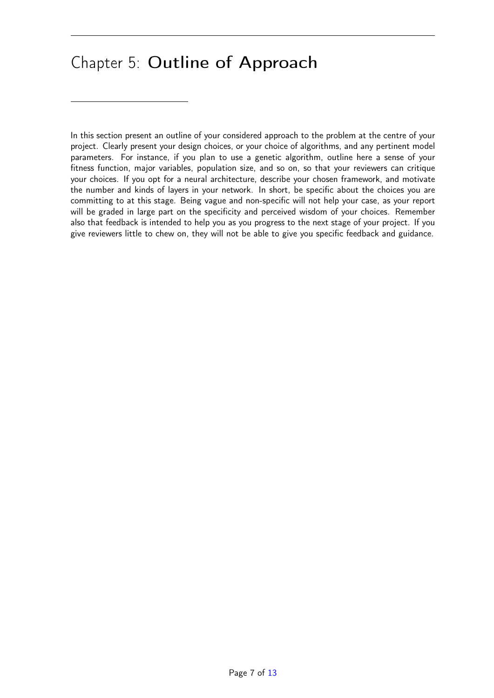### <span id="page-7-0"></span>Chapter 5: Outline of Approach

In this section present an outline of your considered approach to the problem at the centre of your project. Clearly present your design choices, or your choice of algorithms, and any pertinent model parameters. For instance, if you plan to use a genetic algorithm, outline here a sense of your fitness function, major variables, population size, and so on, so that your reviewers can critique your choices. If you opt for a neural architecture, describe your chosen framework, and motivate the number and kinds of layers in your network. In short, be specific about the choices you are committing to at this stage. Being vague and non-specific will not help your case, as your report will be graded in large part on the specificity and perceived wisdom of your choices. Remember also that feedback is intended to help you as you progress to the next stage of your project. If you give reviewers little to chew on, they will not be able to give you specific feedback and guidance.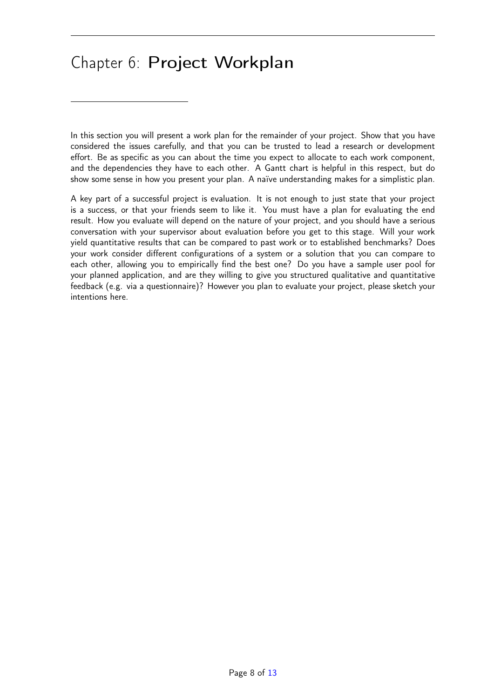### <span id="page-8-0"></span>Chapter 6: Project Workplan

In this section you will present a work plan for the remainder of your project. Show that you have considered the issues carefully, and that you can be trusted to lead a research or development effort. Be as specific as you can about the time you expect to allocate to each work component, and the dependencies they have to each other. A Gantt chart is helpful in this respect, but do show some sense in how you present your plan. A naïve understanding makes for a simplistic plan.

A key part of a successful project is evaluation. It is not enough to just state that your project is a success, or that your friends seem to like it. You must have a plan for evaluating the end result. How you evaluate will depend on the nature of your project, and you should have a serious conversation with your supervisor about evaluation before you get to this stage. Will your work yield quantitative results that can be compared to past work or to established benchmarks? Does your work consider different configurations of a system or a solution that you can compare to each other, allowing you to empirically find the best one? Do you have a sample user pool for your planned application, and are they willing to give you structured qualitative and quantitative feedback (e.g. via a questionnaire)? However you plan to evaluate your project, please sketch your intentions here.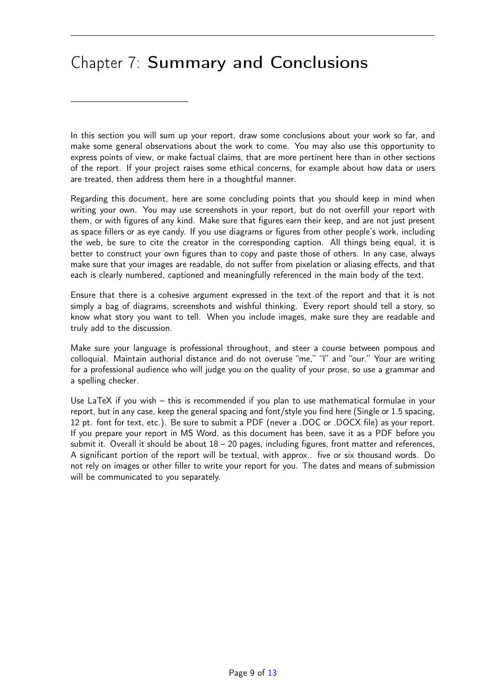## <span id="page-9-0"></span>Chapter 7: Summary and Conclusions

In this section you will sum up your report, draw some conclusions about your work so far, and make some general observations about the work to come. You may also use this opportunity to express points of view, or make factual claims, that are more pertinent here than in other sections of the report. If your project raises some ethical concerns, for example about how data or users are treated, then address them here in a thoughtful manner.

Regarding this document, here are some concluding points that you should keep in mind when writing your own. You may use screenshots in your report, but do not overfill your report with them, or with figures of any kind. Make sure that figures earn their keep, and are not just present as space fillers or as eye candy. If you use diagrams or figures from other people's work, including the web, be sure to cite the creator in the corresponding caption. All things being equal, it is better to construct your own figures than to copy and paste those of others. In any case, always make sure that your images are readable, do not suffer from pixelation or aliasing effects, and that each is clearly numbered, captioned and meaningfully referenced in the main body of the text.

Ensure that there is a cohesive argument expressed in the text of the report and that it is not simply a bag of diagrams, screenshots and wishful thinking. Every report should tell a story, so know what story you want to tell. When you include images, make sure they are readable and truly add to the discussion.

Make sure your language is professional throughout, and steer a course between pompous and colloquial. Maintain authorial distance and do not overuse "me," "I" and "our." Your are writing for a professional audience who will judge you on the quality of your prose, so use a grammar and a spelling checker.

Use LaTeX if you wish – this is recommended if you plan to use mathematical formulae in your report, but in any case, keep the general spacing and font/style you find here (Single or 1.5 spacing, 12 pt. font for text, etc.). Be sure to submit a PDF (never a .DOC or .DOCX file) as your report. If you prepare your report in MS Word, as this document has been, save it as a PDF before you submit it. Overall it should be about  $18 - 20$  pages, including figures, front matter and references, A significant portion of the report will be textual, with approx.. five or six thousand words. Do not rely on images or other filler to write your report for you. The dates and means of submission will be communicated to you separately.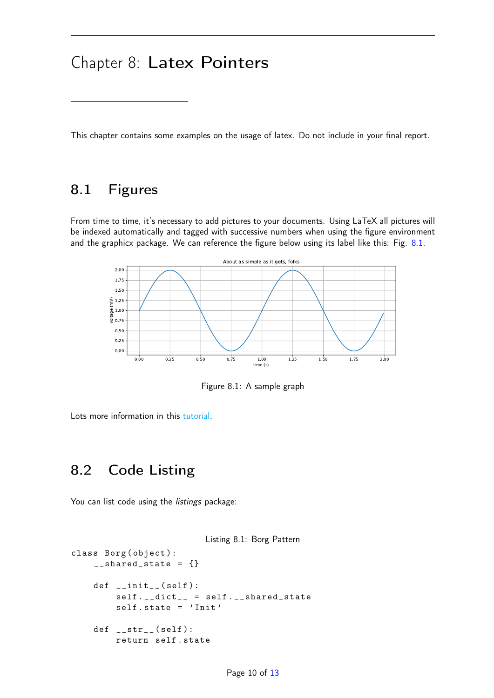#### <span id="page-10-0"></span>Chapter 8: Latex Pointers

This chapter contains some examples on the usage of latex. Do not include in your final report.

#### <span id="page-10-1"></span>8.1 Figures

From time to time, it's necessary to add pictures to your documents. Using LaTeX all pictures will be indexed automatically and tagged with successive numbers when using the figure environment and the graphicx package. We can reference the figure below using its label like this: Fig. [8.1.](#page-10-3)



<span id="page-10-3"></span>Figure 8.1: A sample graph

Lots more information in this [tutorial.](https://www.latex-tutorial.com/tutorials/figures/)

#### <span id="page-10-2"></span>8.2 Code Listing

You can list code using the *listings* package:

```
Listing 8.1: Borg Pattern
class Borg (object):
    _{-\text{shared\_state}} = {}
    def __init__ ( self ):
         self . __dict__ = self . __shared_state
         self.state = 'Init'
    def _ =str _ = (self):return self . state
```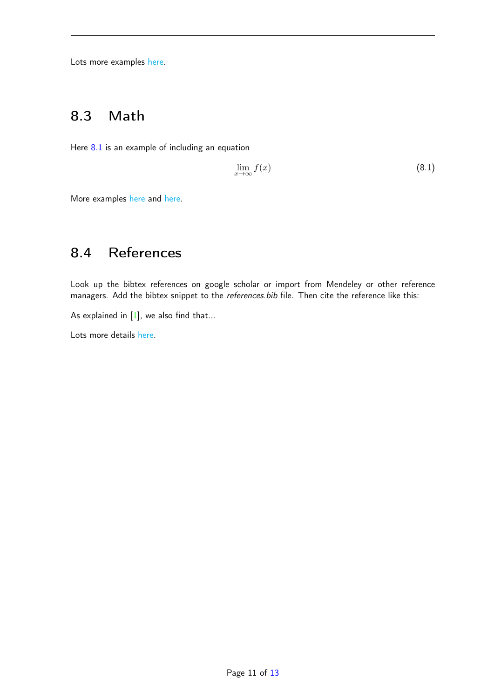Lots more examples [here.](https://www.overleaf.com/learn/latex/Code_listing)

#### <span id="page-11-0"></span>8.3 Math

Here [8.1](#page-11-2) is an example of including an equation

<span id="page-11-2"></span>
$$
\lim_{x \to \infty} f(x) \tag{8.1}
$$

More examples [here](https://www.latex-tutorial.com/tutorials/amsmath/) and [here.](https://www.overleaf.com/learn/latex/Mathematical_expressions)

#### <span id="page-11-1"></span>8.4 References

Look up the bibtex references on google scholar or import from Mendeley or other reference managers. Add the bibtex snippet to the references.bib file. Then cite the reference like this:

As explained in  $[1]$ , we also find that...

Lots more details [here.](https://www.latex-tutorial.com/tutorials/bibtex/)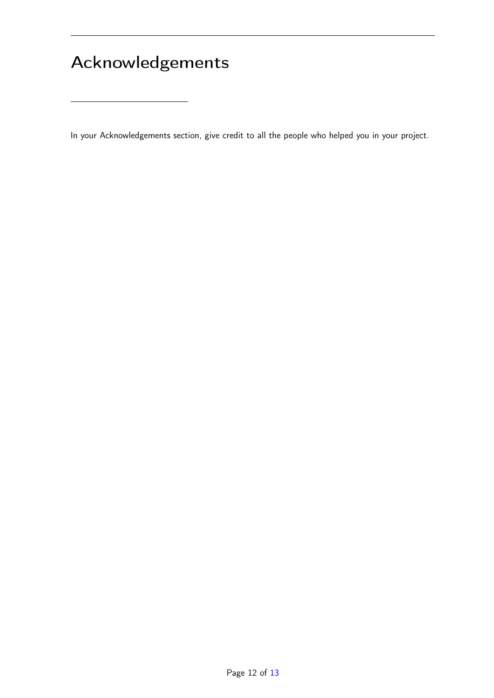# Acknowledgements

In your Acknowledgements section, give credit to all the people who helped you in your project.